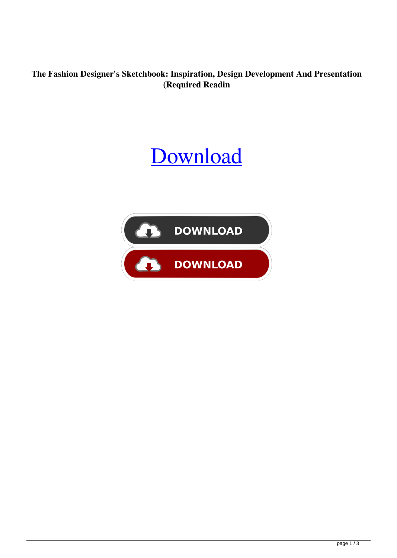**The Fashion Designer's Sketchbook: Inspiration, Design Development And Presentation (Required Readin**

## **[Download](http://evacdir.com/broadcast/considers.sitka?/glorias/VGhlIEZhc2hpb24gRGVzaWduZXIncyBTa2V0Y2hib29rOiBJbnNwaXJhdGlvbiwgRGVzaWduIERldmVsb3BtZW50IGFuZCBQcmVzZW50YXRpb24gKFJlcXVpcmVkIFJlYWRpbgVGh/ZG93bmxvYWR8a3A4TW0xc2NIeDhNVFkxTWpjME1EZzJObng4TWpVM05IeDhLRTBwSUhKbFlXUXRZbXh2WnlCYlJtRnpkQ0JIUlU1ZA/liver.padlocks)**

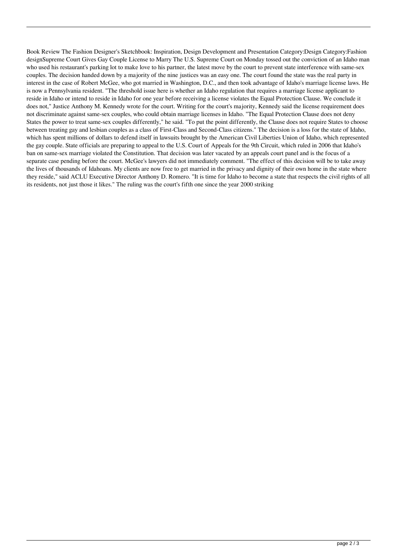Book Review The Fashion Designer's Sketchbook: Inspiration, Design Development and Presentation Category:Design Category:Fashion designSupreme Court Gives Gay Couple License to Marry The U.S. Supreme Court on Monday tossed out the conviction of an Idaho man who used his restaurant's parking lot to make love to his partner, the latest move by the court to prevent state interference with same-sex couples. The decision handed down by a majority of the nine justices was an easy one. The court found the state was the real party in interest in the case of Robert McGee, who got married in Washington, D.C., and then took advantage of Idaho's marriage license laws. He is now a Pennsylvania resident. "The threshold issue here is whether an Idaho regulation that requires a marriage license applicant to reside in Idaho or intend to reside in Idaho for one year before receiving a license violates the Equal Protection Clause. We conclude it does not," Justice Anthony M. Kennedy wrote for the court. Writing for the court's majority, Kennedy said the license requirement does not discriminate against same-sex couples, who could obtain marriage licenses in Idaho. "The Equal Protection Clause does not deny States the power to treat same-sex couples differently," he said. "To put the point differently, the Clause does not require States to choose between treating gay and lesbian couples as a class of First-Class and Second-Class citizens." The decision is a loss for the state of Idaho, which has spent millions of dollars to defend itself in lawsuits brought by the American Civil Liberties Union of Idaho, which represented the gay couple. State officials are preparing to appeal to the U.S. Court of Appeals for the 9th Circuit, which ruled in 2006 that Idaho's ban on same-sex marriage violated the Constitution. That decision was later vacated by an appeals court panel and is the focus of a separate case pending before the court. McGee's lawyers did not immediately comment. "The effect of this decision will be to take away the lives of thousands of Idahoans. My clients are now free to get married in the privacy and dignity of their own home in the state where they reside," said ACLU Executive Director Anthony D. Romero. "It is time for Idaho to become a state that respects the civil rights of all its residents, not just those it likes." The ruling was the court's fifth one since the year 2000 striking